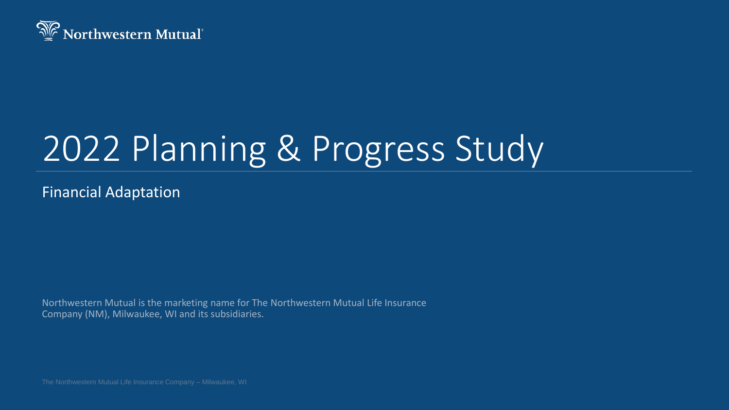

# 2022 Planning & Progress Study

Financial Adaptation

Northwestern Mutual is the marketing name for The Northwestern Mutual Life Insurance Company (NM), Milwaukee, WI and its subsidiaries.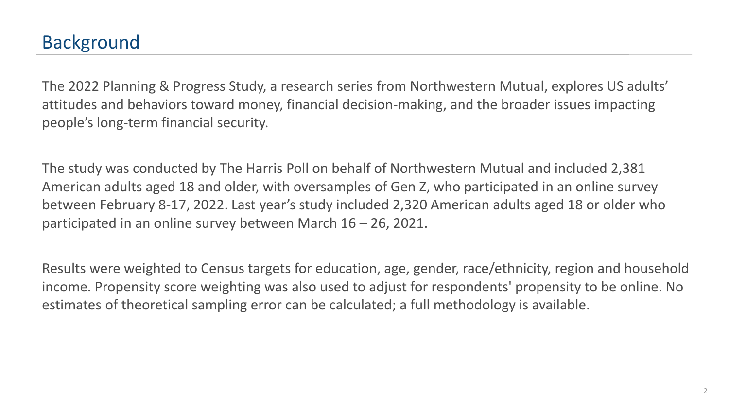The 2022 Planning & Progress Study, a research series from Northwestern Mutual, explores US adults' attitudes and behaviors toward money, financial decision-making, and the broader issues impacting people's long-term financial security.

The study was conducted by The Harris Poll on behalf of Northwestern Mutual and included 2,381 American adults aged 18 and older, with oversamples of Gen Z, who participated in an online survey between February 8-17, 2022. Last year's study included 2,320 American adults aged 18 or older who participated in an online survey between March 16 – 26, 2021.

Results were weighted to Census targets for education, age, gender, race/ethnicity, region and household income. Propensity score weighting was also used to adjust for respondents' propensity to be online. No estimates of theoretical sampling error can be calculated; a full methodology is available.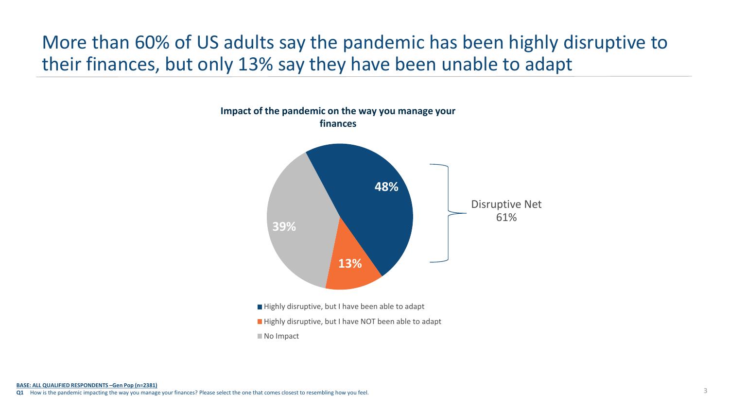# More than 60% of US adults say the pandemic has been highly disruptive to their finances, but only 13% say they have been unable to adapt

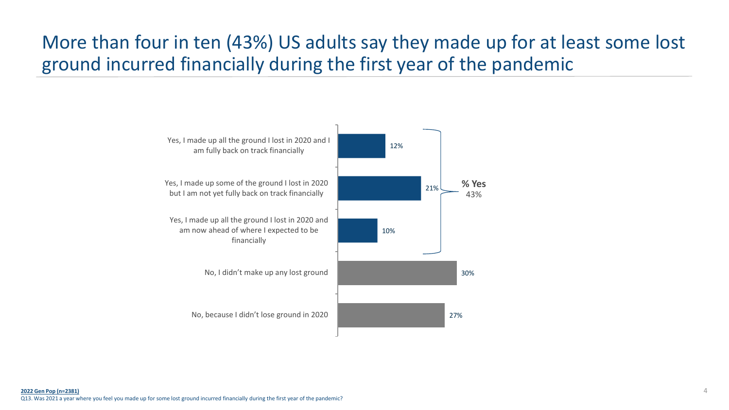# More than four in ten (43%) US adults say they made up for at least some lost ground incurred financially during the first year of the pandemic

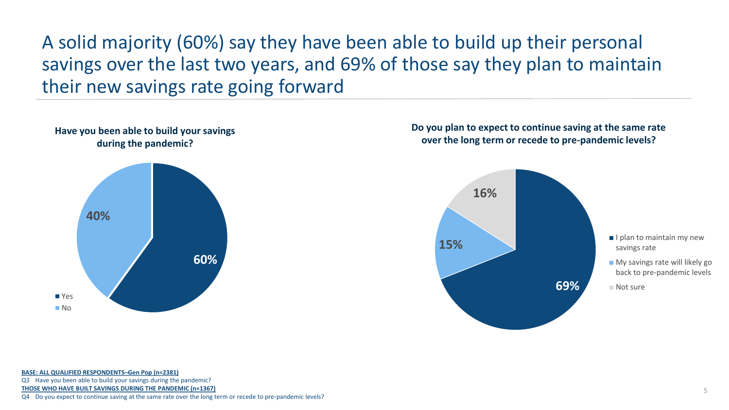A solid majority (60%) say they have been able to build up their personal savings over the last two years, and 69% of those say they plan to maintain their new savings rate going forward



#### **Do you plan to expect to continue saving at the same rate over the long term or recede to pre-pandemic levels?**



Q3 Have you been able to build your savings during the pandemic?

**THOSE WHO HAVE BUILT SAVINGS DURING THE PANDEMIC (n=1367)** 

Q4 Do you expect to continue saving at the same rate over the long term or recede to pre-pandemic levels?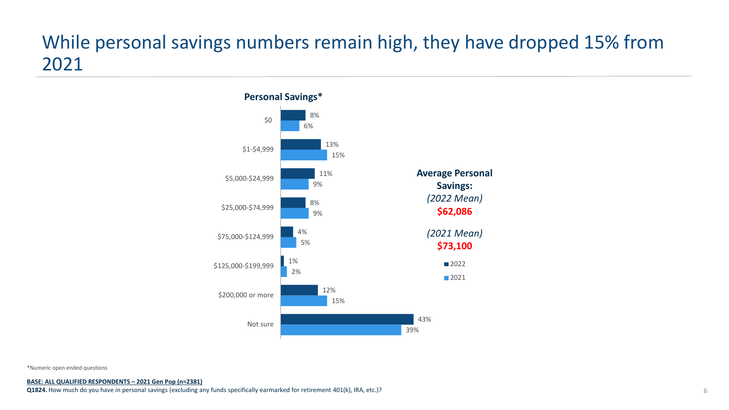### While personal savings numbers remain high, they have dropped 15% from 2021



\*Numeric open ended questions

**BASE: ALL QUALIFIED RESPONDENTS – 2021 Gen Pop (n=2381) Q1824.** How much do you have in personal savings (excluding any funds specifically earmarked for retirement 401(k), IRA, etc.)?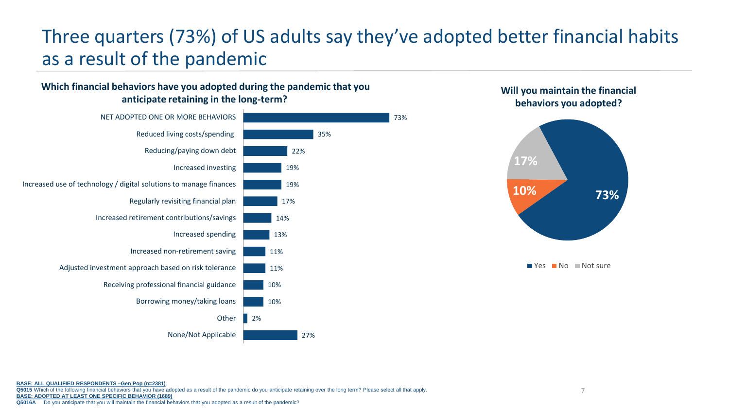# Three quarters (73%) of US adults say they've adopted better financial habits as a result of the pandemic

35%

27%

#### **Which financial behaviors have you adopted during the pandemic that you anticipate retaining in the long-term?**





#### **Will you maintain the financial behaviors you adopted?**

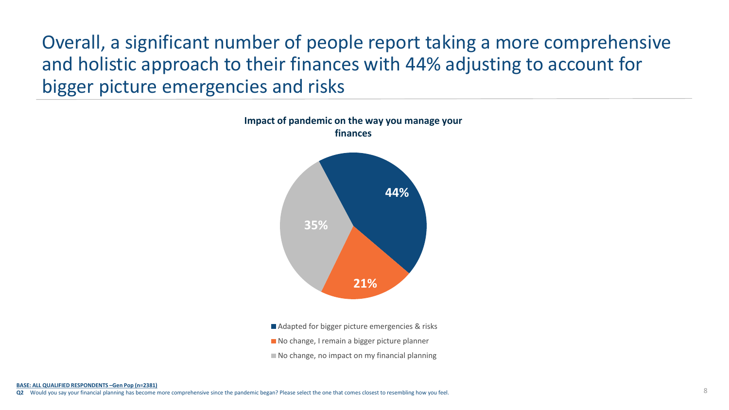Overall, a significant number of people report taking a more comprehensive and holistic approach to their finances with 44% adjusting to account for bigger picture emergencies and risks



■ Adapted for bigger picture emergencies & risks

- No change, I remain a bigger picture planner
- $\blacksquare$  No change, no impact on my financial planning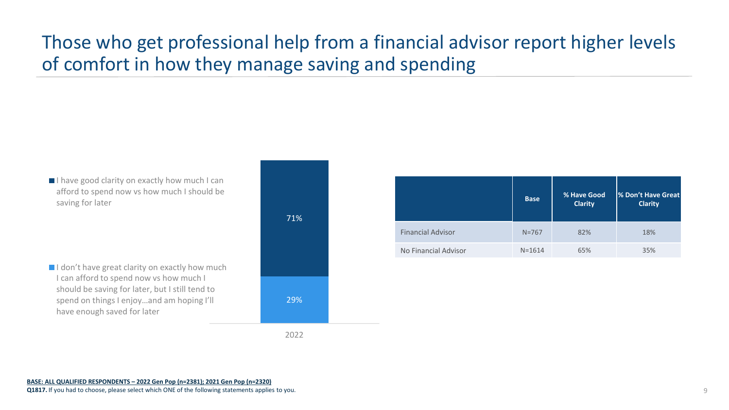# Those who get professional help from a financial advisor report higher levels of comfort in how they manage saving and spending

I have good clarity on exactly how much I can afford to spend now vs how much I should be saving for later

 $\blacksquare$ I don't have great clarity on exactly how much I can afford to spend now vs how much I should be saving for later, but I still tend to spend on things I enjoy…and am hoping I'll have enough saved for later



|                          | <b>Base</b> | % Have Good<br><b>Clarity</b> | <b>S Don't Have Great</b><br><b>Clarity</b> |
|--------------------------|-------------|-------------------------------|---------------------------------------------|
| <b>Financial Advisor</b> | $N = 767$   | 82%                           | 18%                                         |
| No Financial Advisor     | $N = 1614$  | 65%                           | 35%                                         |

2022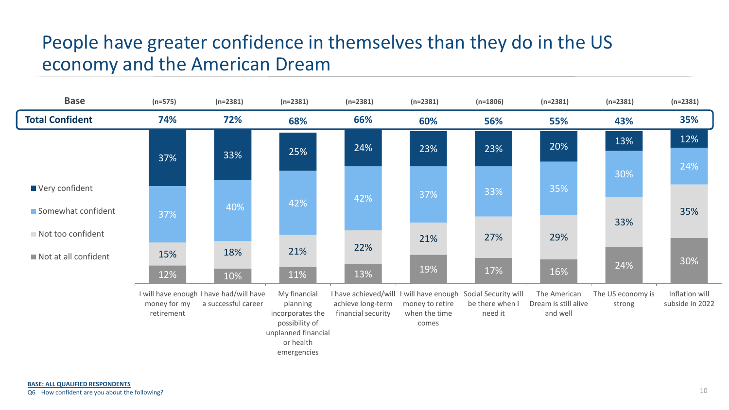## People have greater confidence in themselves than they do in the US economy and the American Dream